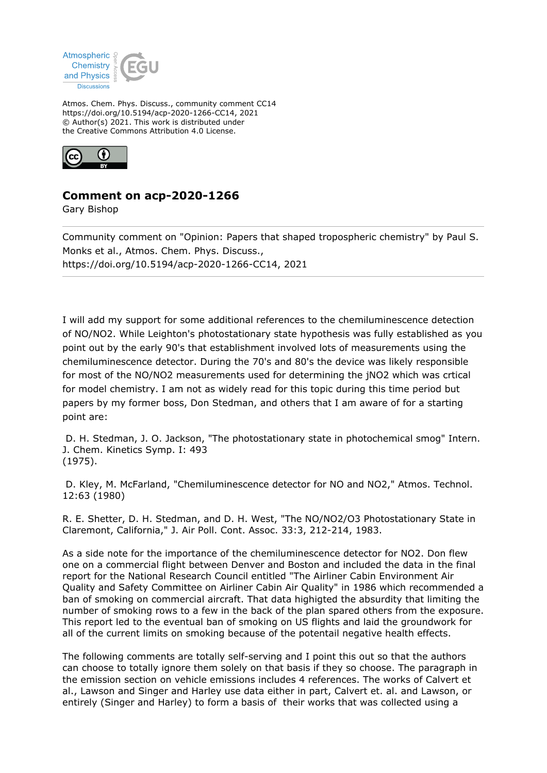

Atmos. Chem. Phys. Discuss., community comment CC14 https://doi.org/10.5194/acp-2020-1266-CC14, 2021 © Author(s) 2021. This work is distributed under the Creative Commons Attribution 4.0 License.



## **Comment on acp-2020-1266**

Gary Bishop

Community comment on "Opinion: Papers that shaped tropospheric chemistry" by Paul S. Monks et al., Atmos. Chem. Phys. Discuss., https://doi.org/10.5194/acp-2020-1266-CC14, 2021

I will add my support for some additional references to the chemiluminescence detection of NO/NO2. While Leighton's photostationary state hypothesis was fully established as you point out by the early 90's that establishment involved lots of measurements using the chemiluminescence detector. During the 70's and 80's the device was likely responsible for most of the NO/NO2 measurements used for determining the jNO2 which was crtical for model chemistry. I am not as widely read for this topic during this time period but papers by my former boss, Don Stedman, and others that I am aware of for a starting point are:

 D. H. Stedman, J. O. Jackson, "The photostationary state in photochemical smog" Intern. J. Chem. Kinetics Symp. I: 493 (1975).

 D. Kley, M. McFarland, "Chemiluminescence detector for NO and NO2," Atmos. Technol. 12:63 (1980)

R. E. Shetter, D. H. Stedman, and D. H. West, "The NO/NO2/O3 Photostationary State in Claremont, California," J. Air Poll. Cont. Assoc. 33:3, 212-214, 1983.

As a side note for the importance of the chemiluminescence detector for NO2. Don flew one on a commercial flight between Denver and Boston and included the data in the final report for the National Research Council entitled "The Airliner Cabin Environment Air Quality and Safety Committee on Airliner Cabin Air Quality" in 1986 which recommended a ban of smoking on commercial aircraft. That data highigted the absurdity that limiting the number of smoking rows to a few in the back of the plan spared others from the exposure. This report led to the eventual ban of smoking on US flights and laid the groundwork for all of the current limits on smoking because of the potentail negative health effects.

The following comments are totally self-serving and I point this out so that the authors can choose to totally ignore them solely on that basis if they so choose. The paragraph in the emission section on vehicle emissions includes 4 references. The works of Calvert et al., Lawson and Singer and Harley use data either in part, Calvert et. al. and Lawson, or entirely (Singer and Harley) to form a basis of their works that was collected using a